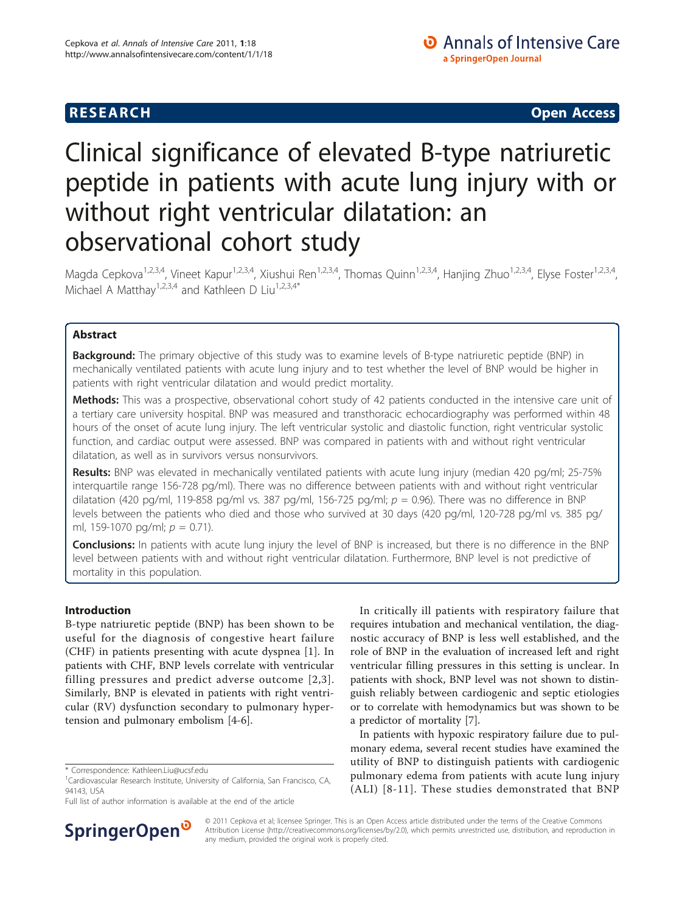**RESEARCH CHRISTIAN CONSUMING CONTRACT CONSUMING CONSUMING CONSUMING CONSUMING CONSUMING CONSUMING CONSUMING CO** 

# Clinical significance of elevated B-type natriuretic peptide in patients with acute lung injury with or without right ventricular dilatation: an observational cohort study

Magda Cepkova<sup>1,2,3,4</sup>, Vineet Kapur<sup>1,2,3,4</sup>, Xiushui Ren<sup>1,2,3,4</sup>, Thomas Quinn<sup>1,2,3,4</sup>, Hanjing Zhuo<sup>1,2,3,4</sup>, Elyse Foster<sup>1,2,3,4</sup>, Michael A Matthay<sup>1,2,3,4</sup> and Kathleen D Liu<sup>1,2,3,4\*</sup>

# Abstract

**Background:** The primary objective of this study was to examine levels of B-type natriuretic peptide (BNP) in mechanically ventilated patients with acute lung injury and to test whether the level of BNP would be higher in patients with right ventricular dilatation and would predict mortality.

Methods: This was a prospective, observational cohort study of 42 patients conducted in the intensive care unit of a tertiary care university hospital. BNP was measured and transthoracic echocardiography was performed within 48 hours of the onset of acute lung injury. The left ventricular systolic and diastolic function, right ventricular systolic function, and cardiac output were assessed. BNP was compared in patients with and without right ventricular dilatation, as well as in survivors versus nonsurvivors.

Results: BNP was elevated in mechanically ventilated patients with acute lung injury (median 420 pq/ml; 25-75% interquartile range 156-728 pg/ml). There was no difference between patients with and without right ventricular dilatation (420 pg/ml, 119-858 pg/ml vs. 387 pg/ml, 156-725 pg/ml;  $p = 0.96$ ). There was no difference in BNP levels between the patients who died and those who survived at 30 days (420 pg/ml, 120-728 pg/ml vs. 385 pg/ ml, 159-1070 pg/ml;  $p = 0.71$ ).

Conclusions: In patients with acute lung injury the level of BNP is increased, but there is no difference in the BNP level between patients with and without right ventricular dilatation. Furthermore, BNP level is not predictive of mortality in this population.

# Introduction

B-type natriuretic peptide (BNP) has been shown to be useful for the diagnosis of congestive heart failure (CHF) in patients presenting with acute dyspnea [[1\]](#page-5-0). In patients with CHF, BNP levels correlate with ventricular filling pressures and predict adverse outcome [[2,3\]](#page-5-0). Similarly, BNP is elevated in patients with right ventricular (RV) dysfunction secondary to pulmonary hypertension and pulmonary embolism [\[4](#page-5-0)-[6\]](#page-5-0).

Full list of author information is available at the end of the article



In critically ill patients with respiratory failure that requires intubation and mechanical ventilation, the diagnostic accuracy of BNP is less well established, and the role of BNP in the evaluation of increased left and right ventricular filling pressures in this setting is unclear. In patients with shock, BNP level was not shown to distinguish reliably between cardiogenic and septic etiologies or to correlate with hemodynamics but was shown to be a predictor of mortality [\[7](#page-5-0)].

In patients with hypoxic respiratory failure due to pulmonary edema, several recent studies have examined the utility of BNP to distinguish patients with cardiogenic pulmonary edema from patients with acute lung injury (ALI) [[8-11\]](#page-5-0). These studies demonstrated that BNP

© 2011 Cepkova et al; licensee Springer. This is an Open Access article distributed under the terms of the Creative Commons Attribution License [\(http://creativecommons.org/licenses/by/2.0](http://creativecommons.org/licenses/by/2.0)), which permits unrestricted use, distribution, and reproduction in any medium, provided the original work is properly cited.

<sup>\*</sup> Correspondence: [Kathleen.Liu@ucsf.edu](mailto:Kathleen.Liu@ucsf.edu)

<sup>&</sup>lt;sup>1</sup>Cardiovascular Research Institute, University of California, San Francisco, CA, 94143, USA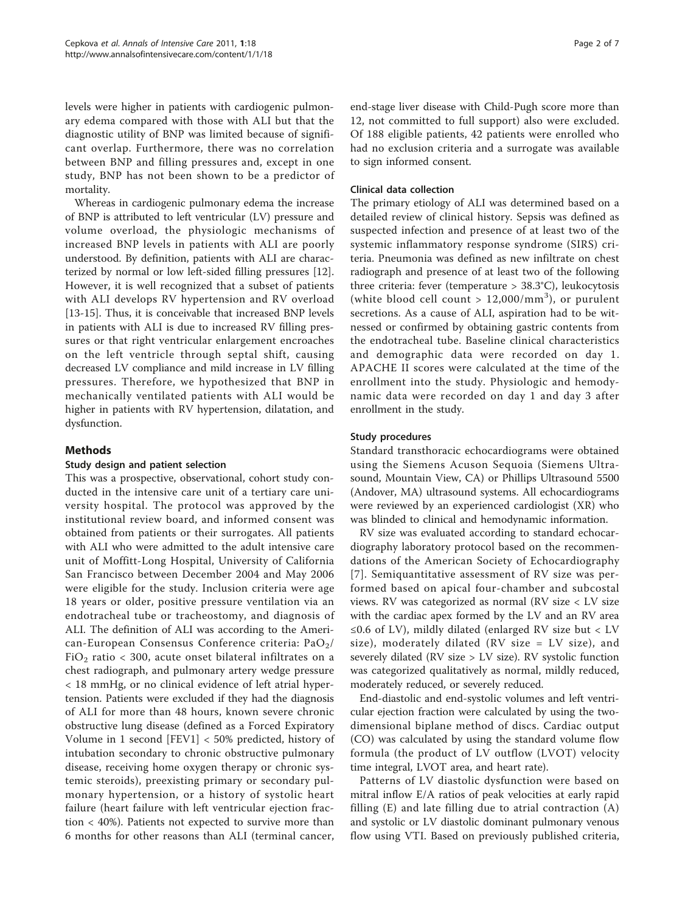levels were higher in patients with cardiogenic pulmonary edema compared with those with ALI but that the diagnostic utility of BNP was limited because of significant overlap. Furthermore, there was no correlation between BNP and filling pressures and, except in one study, BNP has not been shown to be a predictor of mortality.

Whereas in cardiogenic pulmonary edema the increase of BNP is attributed to left ventricular (LV) pressure and volume overload, the physiologic mechanisms of increased BNP levels in patients with ALI are poorly understood. By definition, patients with ALI are characterized by normal or low left-sided filling pressures [\[12](#page-6-0)]. However, it is well recognized that a subset of patients with ALI develops RV hypertension and RV overload [[13-15\]](#page-6-0). Thus, it is conceivable that increased BNP levels in patients with ALI is due to increased RV filling pressures or that right ventricular enlargement encroaches on the left ventricle through septal shift, causing decreased LV compliance and mild increase in LV filling pressures. Therefore, we hypothesized that BNP in mechanically ventilated patients with ALI would be higher in patients with RV hypertension, dilatation, and dysfunction.

# Methods

# Study design and patient selection

This was a prospective, observational, cohort study conducted in the intensive care unit of a tertiary care university hospital. The protocol was approved by the institutional review board, and informed consent was obtained from patients or their surrogates. All patients with ALI who were admitted to the adult intensive care unit of Moffitt-Long Hospital, University of California San Francisco between December 2004 and May 2006 were eligible for the study. Inclusion criteria were age 18 years or older, positive pressure ventilation via an endotracheal tube or tracheostomy, and diagnosis of ALI. The definition of ALI was according to the American-European Consensus Conference criteria:  $PaO<sub>2</sub>/$ FiO<sub>2</sub> ratio < 300, acute onset bilateral infiltrates on a chest radiograph, and pulmonary artery wedge pressure < 18 mmHg, or no clinical evidence of left atrial hypertension. Patients were excluded if they had the diagnosis of ALI for more than 48 hours, known severe chronic obstructive lung disease (defined as a Forced Expiratory Volume in 1 second [FEV1] < 50% predicted, history of intubation secondary to chronic obstructive pulmonary disease, receiving home oxygen therapy or chronic systemic steroids), preexisting primary or secondary pulmonary hypertension, or a history of systolic heart failure (heart failure with left ventricular ejection fraction < 40%). Patients not expected to survive more than 6 months for other reasons than ALI (terminal cancer, end-stage liver disease with Child-Pugh score more than 12, not committed to full support) also were excluded. Of 188 eligible patients, 42 patients were enrolled who had no exclusion criteria and a surrogate was available to sign informed consent.

# Clinical data collection

The primary etiology of ALI was determined based on a detailed review of clinical history. Sepsis was defined as suspected infection and presence of at least two of the systemic inflammatory response syndrome (SIRS) criteria. Pneumonia was defined as new infiltrate on chest radiograph and presence of at least two of the following three criteria: fever (temperature > 38.3°C), leukocytosis (white blood cell count  $> 12,000/mm^3$ ), or purulent secretions. As a cause of ALI, aspiration had to be witnessed or confirmed by obtaining gastric contents from the endotracheal tube. Baseline clinical characteristics and demographic data were recorded on day 1. APACHE II scores were calculated at the time of the enrollment into the study. Physiologic and hemodynamic data were recorded on day 1 and day 3 after enrollment in the study.

# Study procedures

Standard transthoracic echocardiograms were obtained using the Siemens Acuson Sequoia (Siemens Ultrasound, Mountain View, CA) or Phillips Ultrasound 5500 (Andover, MA) ultrasound systems. All echocardiograms were reviewed by an experienced cardiologist (XR) who was blinded to clinical and hemodynamic information.

RV size was evaluated according to standard echocardiography laboratory protocol based on the recommendations of the American Society of Echocardiography [[7](#page-5-0)]. Semiquantitative assessment of RV size was performed based on apical four-chamber and subcostal views. RV was categorized as normal (RV size < LV size with the cardiac apex formed by the LV and an RV area ≤0.6 of LV), mildly dilated (enlarged RV size but < LV size), moderately dilated (RV size = LV size), and severely dilated (RV size > LV size). RV systolic function was categorized qualitatively as normal, mildly reduced, moderately reduced, or severely reduced.

End-diastolic and end-systolic volumes and left ventricular ejection fraction were calculated by using the twodimensional biplane method of discs. Cardiac output (CO) was calculated by using the standard volume flow formula (the product of LV outflow (LVOT) velocity time integral, LVOT area, and heart rate).

Patterns of LV diastolic dysfunction were based on mitral inflow E/A ratios of peak velocities at early rapid filling (E) and late filling due to atrial contraction (A) and systolic or LV diastolic dominant pulmonary venous flow using VTI. Based on previously published criteria,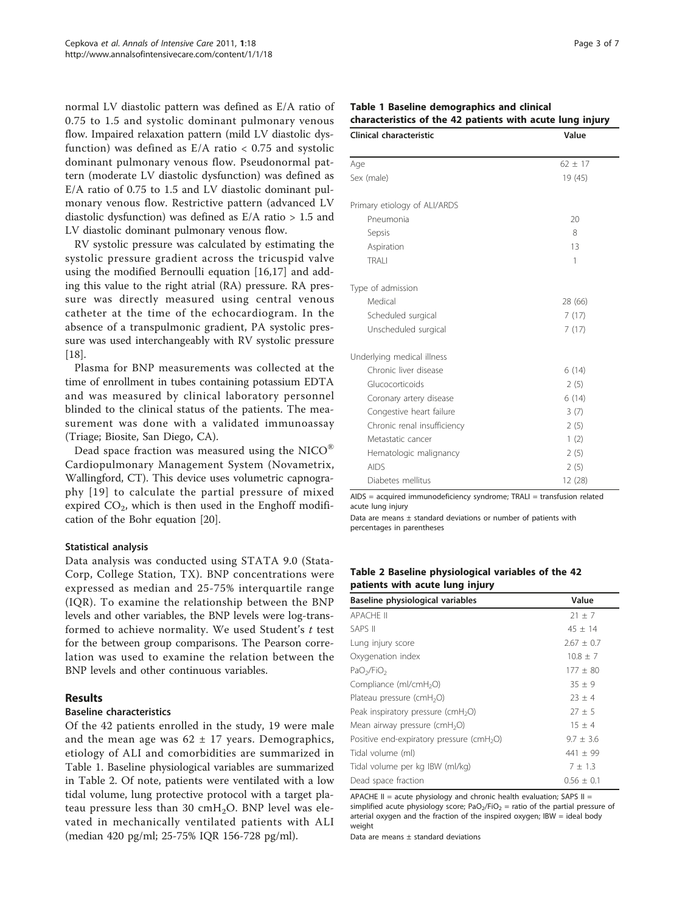normal LV diastolic pattern was defined as E/A ratio of 0.75 to 1.5 and systolic dominant pulmonary venous flow. Impaired relaxation pattern (mild LV diastolic dysfunction) was defined as  $E/A$  ratio  $< 0.75$  and systolic dominant pulmonary venous flow. Pseudonormal pattern (moderate LV diastolic dysfunction) was defined as E/A ratio of 0.75 to 1.5 and LV diastolic dominant pulmonary venous flow. Restrictive pattern (advanced LV diastolic dysfunction) was defined as  $E/A$  ratio  $> 1.5$  and LV diastolic dominant pulmonary venous flow.

RV systolic pressure was calculated by estimating the systolic pressure gradient across the tricuspid valve using the modified Bernoulli equation [\[16,17](#page-6-0)] and adding this value to the right atrial (RA) pressure. RA pressure was directly measured using central venous catheter at the time of the echocardiogram. In the absence of a transpulmonic gradient, PA systolic pressure was used interchangeably with RV systolic pressure [[18\]](#page-6-0).

Plasma for BNP measurements was collected at the time of enrollment in tubes containing potassium EDTA and was measured by clinical laboratory personnel blinded to the clinical status of the patients. The measurement was done with a validated immunoassay (Triage; Biosite, San Diego, CA).

Dead space fraction was measured using the NICO® Cardiopulmonary Management System (Novametrix, Wallingford, CT). This device uses volumetric capnography [[19\]](#page-6-0) to calculate the partial pressure of mixed expired  $CO<sub>2</sub>$ , which is then used in the Enghoff modification of the Bohr equation [[20\]](#page-6-0).

### Statistical analysis

Data analysis was conducted using STATA 9.0 (Stata-Corp, College Station, TX). BNP concentrations were expressed as median and 25-75% interquartile range (IQR). To examine the relationship between the BNP levels and other variables, the BNP levels were log-transformed to achieve normality. We used Student's t test for the between group comparisons. The Pearson correlation was used to examine the relation between the BNP levels and other continuous variables.

# Results

### Baseline characteristics

Of the 42 patients enrolled in the study, 19 were male and the mean age was  $62 \pm 17$  years. Demographics, etiology of ALI and comorbidities are summarized in Table 1. Baseline physiological variables are summarized in Table 2. Of note, patients were ventilated with a low tidal volume, lung protective protocol with a target plateau pressure less than 30  $cmH<sub>2</sub>O$ . BNP level was elevated in mechanically ventilated patients with ALI (median 420 pg/ml; 25-75% IQR 156-728 pg/ml).

| Table 1 Baseline demographics and clinical                |  |
|-----------------------------------------------------------|--|
| characteristics of the 42 patients with acute lung injury |  |

| Clinical characteristic      | Value       |
|------------------------------|-------------|
| Age                          | $62 \pm 17$ |
| Sex (male)                   | 19 (45)     |
| Primary etiology of ALI/ARDS |             |
| Pneumonia                    | 20          |
| Sepsis                       | 8           |
| Aspiration                   | 13          |
| <b>TRAII</b>                 | 1           |
| Type of admission            |             |
| Medical                      | 28 (66)     |
| Scheduled surgical           | 7(17)       |
| Unscheduled surgical         | 7(17)       |
| Underlying medical illness   |             |
| Chronic liver disease        | 6(14)       |
| Glucocorticoids              | 2(5)        |
| Coronary artery disease      | 6(14)       |
| Congestive heart failure     | 3(7)        |
| Chronic renal insufficiency  | 2(5)        |
| Metastatic cancer            | 1(2)        |
| Hematologic malignancy       | 2(5)        |
| <b>AIDS</b>                  | 2(5)        |
| Diabetes mellitus            | 12 (28)     |

 $AIDS = acquired immunodeficiency syndrome; TRALI = transformation related$ acute lung injury

Data are means  $\pm$  standard deviations or number of patients with percentages in parentheses

## Table 2 Baseline physiological variables of the 42 patients with acute lung injury

| Baseline physiological variables                      | Value          |
|-------------------------------------------------------|----------------|
| <b>APACHE II</b>                                      | $21 \pm 7$     |
| <b>SAPS II</b>                                        | $45 \pm 14$    |
| Lung injury score                                     | $2.67 \pm 0.7$ |
| Oxygenation index                                     | $10.8 \pm 7$   |
| PaO <sub>2</sub> /FiO <sub>2</sub>                    | $177 \pm 80$   |
| Compliance (ml/cmH <sub>2</sub> O)                    | $35 \pm 9$     |
| Plateau pressure (cmH <sub>2</sub> O)                 | $23 \pm 4$     |
| Peak inspiratory pressure (cmH <sub>2</sub> O)        | $27 \pm 5$     |
| Mean airway pressure (cmH <sub>2</sub> O)             | $15 \pm 4$     |
| Positive end-expiratory pressure (cmH <sub>2</sub> O) | $9.7 \pm 3.6$  |
| Tidal volume (ml)                                     | 441 $\pm$ 99   |
| Tidal volume per kg IBW (ml/kg)                       | $7 \pm 1.3$    |
| Dead space fraction                                   | $0.56 \pm 0.1$ |

APACHE II = acute physiology and chronic health evaluation; SAPS II = simplified acute physiology score; PaO<sub>2</sub>/FiO<sub>2</sub> = ratio of the partial pressure of arterial oxygen and the fraction of the inspired oxygen; IBW = ideal body weight

Data are means  $\pm$  standard deviations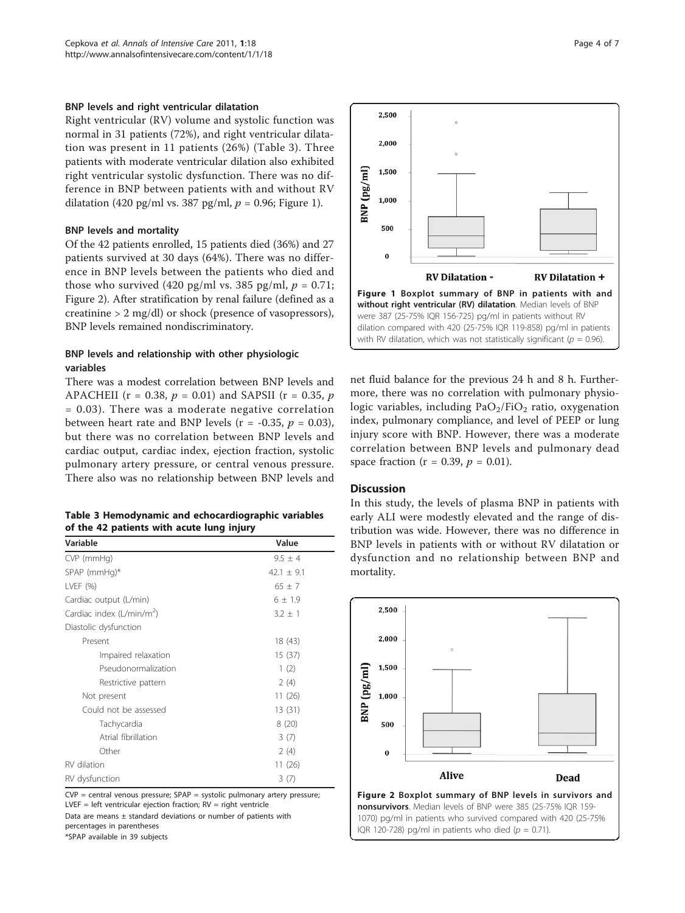#### BNP levels and right ventricular dilatation

Right ventricular (RV) volume and systolic function was normal in 31 patients (72%), and right ventricular dilatation was present in 11 patients (26%) (Table 3). Three patients with moderate ventricular dilation also exhibited right ventricular systolic dysfunction. There was no difference in BNP between patients with and without RV dilatation (420 pg/ml vs. 387 pg/ml,  $p = 0.96$ ; Figure 1).

#### BNP levels and mortality

Of the 42 patients enrolled, 15 patients died (36%) and 27 patients survived at 30 days (64%). There was no difference in BNP levels between the patients who died and those who survived (420 pg/ml vs. 385 pg/ml,  $p = 0.71$ ; Figure 2). After stratification by renal failure (defined as a creatinine > 2 mg/dl) or shock (presence of vasopressors), BNP levels remained nondiscriminatory.

# BNP levels and relationship with other physiologic variables

There was a modest correlation between BNP levels and APACHEII ( $r = 0.38$ ,  $p = 0.01$ ) and SAPSII ( $r = 0.35$ ,  $p$ = 0.03). There was a moderate negative correlation between heart rate and BNP levels ( $r = -0.35$ ,  $p = 0.03$ ), but there was no correlation between BNP levels and cardiac output, cardiac index, ejection fraction, systolic pulmonary artery pressure, or central venous pressure. There also was no relationship between BNP levels and

| Table 3 Hemodynamic and echocardiographic variables |  |
|-----------------------------------------------------|--|
| of the 42 patients with acute lung injury           |  |

| Variable                              | Value          |
|---------------------------------------|----------------|
| CVP (mmHg)                            | $9.5 \pm 4$    |
| $SPAP$ (mmHg)*                        | $42.1 \pm 9.1$ |
| LVEF (%)                              | $65 \pm 7$     |
| Cardiac output (L/min)                | $6 \pm 1.9$    |
| Cardiac index (L/min/m <sup>2</sup> ) | $3.2 \pm 1$    |
| Diastolic dysfunction                 |                |
| Present                               | 18(43)         |
| Impaired relaxation                   | 15(37)         |
| Pseudonormalization                   | 1(2)           |
| Restrictive pattern                   | 2(4)           |
| Not present                           | 11(26)         |
| Could not be assessed                 | 13(31)         |
| Tachycardia                           | 8(20)          |
| Atrial fibrillation                   | 3(7)           |
| Other                                 | 2(4)           |
| RV dilation                           | 11(26)         |
| RV dysfunction                        | 3(7)           |

 $CVP =$  central venous pressure; SPAP = systolic pulmonary artery pressure; LVEF = left ventricular ejection fraction;  $RV =$  right ventricle

Data are means  $\pm$  standard deviations or number of patients with percentages in parentheses

\*SPAP available in 39 subjects



net fluid balance for the previous 24 h and 8 h. Furthermore, there was no correlation with pulmonary physiologic variables, including  $PaO<sub>2</sub>/FiO<sub>2</sub>$  ratio, oxygenation index, pulmonary compliance, and level of PEEP or lung injury score with BNP. However, there was a moderate correlation between BNP levels and pulmonary dead space fraction ( $r = 0.39$ ,  $p = 0.01$ ).

#### **Discussion**

In this study, the levels of plasma BNP in patients with early ALI were modestly elevated and the range of distribution was wide. However, there was no difference in BNP levels in patients with or without RV dilatation or dysfunction and no relationship between BNP and mortality.



nonsurvivors. Median levels of BNP were 385 (25-75% IQR 159- 1070) pg/ml in patients who survived compared with 420 (25-75% IQR 120-728) pg/ml in patients who died ( $p = 0.71$ ).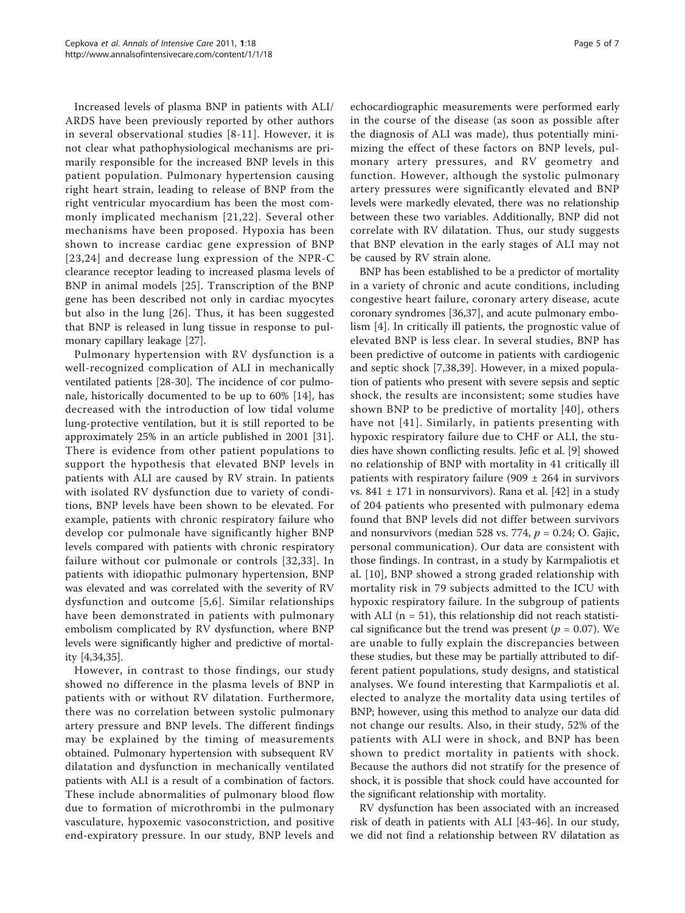Increased levels of plasma BNP in patients with ALI/ ARDS have been previously reported by other authors in several observational studies [[8-11](#page-5-0)]. However, it is not clear what pathophysiological mechanisms are primarily responsible for the increased BNP levels in this patient population. Pulmonary hypertension causing right heart strain, leading to release of BNP from the right ventricular myocardium has been the most commonly implicated mechanism [[21,22](#page-6-0)]. Several other mechanisms have been proposed. Hypoxia has been shown to increase cardiac gene expression of BNP [[23](#page-6-0),[24](#page-6-0)] and decrease lung expression of the NPR-C clearance receptor leading to increased plasma levels of BNP in animal models [[25](#page-6-0)]. Transcription of the BNP gene has been described not only in cardiac myocytes but also in the lung [[26](#page-6-0)]. Thus, it has been suggested that BNP is released in lung tissue in response to pulmonary capillary leakage [\[27\]](#page-6-0).

Pulmonary hypertension with RV dysfunction is a well-recognized complication of ALI in mechanically ventilated patients [[28-30](#page-6-0)]. The incidence of cor pulmonale, historically documented to be up to 60% [[14](#page-6-0)], has decreased with the introduction of low tidal volume lung-protective ventilation, but it is still reported to be approximately 25% in an article published in 2001 [\[31](#page-6-0)]. There is evidence from other patient populations to support the hypothesis that elevated BNP levels in patients with ALI are caused by RV strain. In patients with isolated RV dysfunction due to variety of conditions, BNP levels have been shown to be elevated. For example, patients with chronic respiratory failure who develop cor pulmonale have significantly higher BNP levels compared with patients with chronic respiratory failure without cor pulmonale or controls [[32](#page-6-0),[33\]](#page-6-0). In patients with idiopathic pulmonary hypertension, BNP was elevated and was correlated with the severity of RV dysfunction and outcome [[5,6\]](#page-5-0). Similar relationships have been demonstrated in patients with pulmonary embolism complicated by RV dysfunction, where BNP levels were significantly higher and predictive of mortality [\[4](#page-5-0)[,34,35\]](#page-6-0).

However, in contrast to those findings, our study showed no difference in the plasma levels of BNP in patients with or without RV dilatation. Furthermore, there was no correlation between systolic pulmonary artery pressure and BNP levels. The different findings may be explained by the timing of measurements obtained. Pulmonary hypertension with subsequent RV dilatation and dysfunction in mechanically ventilated patients with ALI is a result of a combination of factors. These include abnormalities of pulmonary blood flow due to formation of microthrombi in the pulmonary vasculature, hypoxemic vasoconstriction, and positive end-expiratory pressure. In our study, BNP levels and echocardiographic measurements were performed early in the course of the disease (as soon as possible after the diagnosis of ALI was made), thus potentially minimizing the effect of these factors on BNP levels, pulmonary artery pressures, and RV geometry and function. However, although the systolic pulmonary artery pressures were significantly elevated and BNP levels were markedly elevated, there was no relationship between these two variables. Additionally, BNP did not correlate with RV dilatation. Thus, our study suggests that BNP elevation in the early stages of ALI may not be caused by RV strain alone.

BNP has been established to be a predictor of mortality in a variety of chronic and acute conditions, including congestive heart failure, coronary artery disease, acute coronary syndromes [\[36,37](#page-6-0)], and acute pulmonary embolism [[4\]](#page-5-0). In critically ill patients, the prognostic value of elevated BNP is less clear. In several studies, BNP has been predictive of outcome in patients with cardiogenic and septic shock [[7,](#page-5-0)[38,39](#page-6-0)]. However, in a mixed population of patients who present with severe sepsis and septic shock, the results are inconsistent; some studies have shown BNP to be predictive of mortality [[40\]](#page-6-0), others have not [[41](#page-6-0)]. Similarly, in patients presenting with hypoxic respiratory failure due to CHF or ALI, the studies have shown conflicting results. Jefic et al. [\[9\]](#page-5-0) showed no relationship of BNP with mortality in 41 critically ill patients with respiratory failure (909  $\pm$  264 in survivors vs.  $841 \pm 171$  in nonsurvivors). Rana et al. [[42\]](#page-6-0) in a study of 204 patients who presented with pulmonary edema found that BNP levels did not differ between survivors and nonsurvivors (median 528 vs. 774,  $p = 0.24$ ; O. Gajic, personal communication). Our data are consistent with those findings. In contrast, in a study by Karmpaliotis et al. [[10](#page-5-0)], BNP showed a strong graded relationship with mortality risk in 79 subjects admitted to the ICU with hypoxic respiratory failure. In the subgroup of patients with ALI ( $n = 51$ ), this relationship did not reach statistical significance but the trend was present ( $p = 0.07$ ). We are unable to fully explain the discrepancies between these studies, but these may be partially attributed to different patient populations, study designs, and statistical analyses. We found interesting that Karmpaliotis et al. elected to analyze the mortality data using tertiles of BNP; however, using this method to analyze our data did not change our results. Also, in their study, 52% of the patients with ALI were in shock, and BNP has been shown to predict mortality in patients with shock. Because the authors did not stratify for the presence of shock, it is possible that shock could have accounted for the significant relationship with mortality.

RV dysfunction has been associated with an increased risk of death in patients with ALI [\[43](#page-6-0)-[46\]](#page-6-0). In our study, we did not find a relationship between RV dilatation as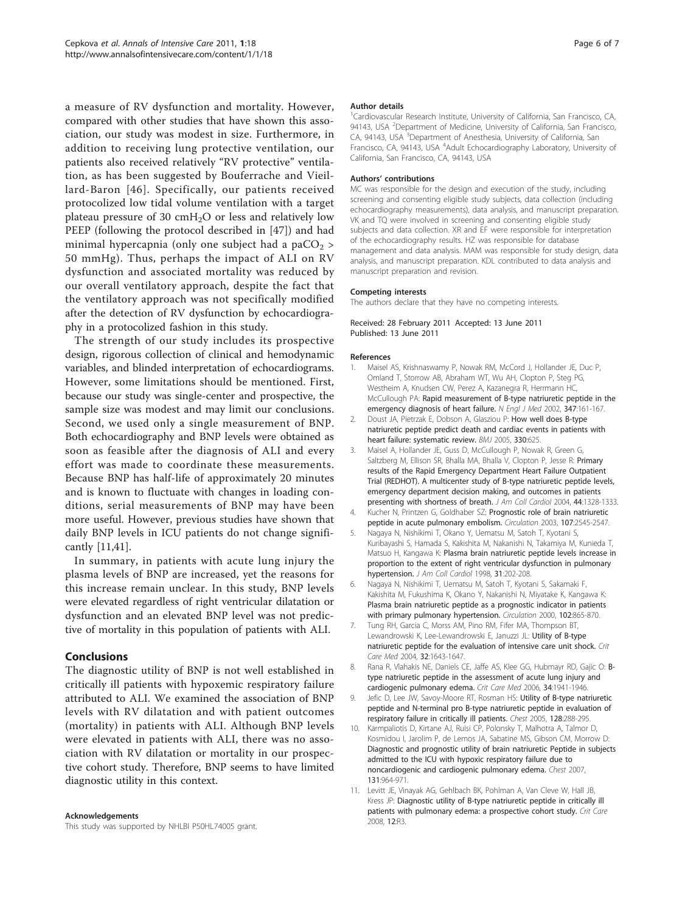<span id="page-5-0"></span>a measure of RV dysfunction and mortality. However, compared with other studies that have shown this association, our study was modest in size. Furthermore, in addition to receiving lung protective ventilation, our patients also received relatively "RV protective" ventilation, as has been suggested by Bouferrache and Vieillard-Baron [[46](#page-6-0)]. Specifically, our patients received protocolized low tidal volume ventilation with a target plateau pressure of 30  $\text{cm}H_2\text{O}$  or less and relatively low PEEP (following the protocol described in [[47](#page-6-0)]) and had minimal hypercapnia (only one subject had a pa $CO<sub>2</sub>$ ) 50 mmHg). Thus, perhaps the impact of ALI on RV dysfunction and associated mortality was reduced by our overall ventilatory approach, despite the fact that the ventilatory approach was not specifically modified after the detection of RV dysfunction by echocardiography in a protocolized fashion in this study.

The strength of our study includes its prospective design, rigorous collection of clinical and hemodynamic variables, and blinded interpretation of echocardiograms. However, some limitations should be mentioned. First, because our study was single-center and prospective, the sample size was modest and may limit our conclusions. Second, we used only a single measurement of BNP. Both echocardiography and BNP levels were obtained as soon as feasible after the diagnosis of ALI and every effort was made to coordinate these measurements. Because BNP has half-life of approximately 20 minutes and is known to fluctuate with changes in loading conditions, serial measurements of BNP may have been more useful. However, previous studies have shown that daily BNP levels in ICU patients do not change significantly [11[,41\]](#page-6-0).

In summary, in patients with acute lung injury the plasma levels of BNP are increased, yet the reasons for this increase remain unclear. In this study, BNP levels were elevated regardless of right ventricular dilatation or dysfunction and an elevated BNP level was not predictive of mortality in this population of patients with ALI.

### Conclusions

The diagnostic utility of BNP is not well established in critically ill patients with hypoxemic respiratory failure attributed to ALI. We examined the association of BNP levels with RV dilatation and with patient outcomes (mortality) in patients with ALI. Although BNP levels were elevated in patients with ALI, there was no association with RV dilatation or mortality in our prospective cohort study. Therefore, BNP seems to have limited diagnostic utility in this context.

#### Acknowledgements

This study was supported by NHLBI P50HL74005 grant.

#### Author details

<sup>1</sup> Cardiovascular Research Institute, University of California, San Francisco, CA 94143, USA <sup>2</sup>Department of Medicine, University of California, San Francisco CA, 94143, USA <sup>3</sup>Department of Anesthesia, University of California, San Francisco, CA, 94143, USA <sup>4</sup>Adult Echocardiography Laboratory, University of California, San Francisco, CA, 94143, USA

#### Authors' contributions

MC was responsible for the design and execution of the study, including screening and consenting eligible study subjects, data collection (including echocardiography measurements), data analysis, and manuscript preparation. VK and TQ were involved in screening and consenting eligible study subjects and data collection. XR and EF were responsible for interpretation of the echocardiography results. HZ was responsible for database management and data analysis. MAM was responsible for study design, data analysis, and manuscript preparation. KDL contributed to data analysis and manuscript preparation and revision.

#### Competing interests

The authors declare that they have no competing interests.

#### Received: 28 February 2011 Accepted: 13 June 2011 Published: 13 June 2011

#### References

- 1. Maisel AS, Krishnaswamy P, Nowak RM, McCord J, Hollander JE, Duc P, Omland T, Storrow AB, Abraham WT, Wu AH, Clopton P, Steg PG, Westheim A, Knudsen CW, Perez A, Kazanegra R, Herrmann HC, McCullough PA: [Rapid measurement of B-type natriuretic peptide in the](http://www.ncbi.nlm.nih.gov/pubmed/12124404?dopt=Abstract) [emergency diagnosis of heart failure.](http://www.ncbi.nlm.nih.gov/pubmed/12124404?dopt=Abstract) N Engl J Med 2002, 347:161-167.
- 2. Doust JA, Pietrzak E, Dobson A, Glasziou P: [How well does B-type](http://www.ncbi.nlm.nih.gov/pubmed/15774989?dopt=Abstract) [natriuretic peptide predict death and cardiac events in patients with](http://www.ncbi.nlm.nih.gov/pubmed/15774989?dopt=Abstract) [heart failure: systematic review.](http://www.ncbi.nlm.nih.gov/pubmed/15774989?dopt=Abstract) BMJ 2005, 330:625.
- 3. Maisel A, Hollander JE, Guss D, McCullough P, Nowak R, Green G, Saltzberg M, Ellison SR, Bhalla MA, Bhalla V, Clopton P, Jesse R: [Primary](http://www.ncbi.nlm.nih.gov/pubmed/15364340?dopt=Abstract) [results of the Rapid Emergency Department Heart Failure Outpatient](http://www.ncbi.nlm.nih.gov/pubmed/15364340?dopt=Abstract) [Trial \(REDHOT\). A multicenter study of B-type natriuretic peptide levels,](http://www.ncbi.nlm.nih.gov/pubmed/15364340?dopt=Abstract) [emergency department decision making, and outcomes in patients](http://www.ncbi.nlm.nih.gov/pubmed/15364340?dopt=Abstract) [presenting with shortness of breath.](http://www.ncbi.nlm.nih.gov/pubmed/15364340?dopt=Abstract) J Am Coll Cardiol 2004, 44:1328-1333.
- 4. Kucher N, Printzen G, Goldhaber SZ: [Prognostic role of brain natriuretic](http://www.ncbi.nlm.nih.gov/pubmed/12742987?dopt=Abstract) [peptide in acute pulmonary embolism.](http://www.ncbi.nlm.nih.gov/pubmed/12742987?dopt=Abstract) Circulation 2003, 107:2545-2547.
- 5. Nagaya N, Nishikimi T, Okano Y, Uematsu M, Satoh T, Kyotani S, Kuribayashi S, Hamada S, Kakishita M, Nakanishi N, Takamiya M, Kunieda T, Matsuo H, Kangawa K: [Plasma brain natriuretic peptide levels increase in](http://www.ncbi.nlm.nih.gov/pubmed/9426041?dopt=Abstract) [proportion to the extent of right ventricular dysfunction in pulmonary](http://www.ncbi.nlm.nih.gov/pubmed/9426041?dopt=Abstract) [hypertension.](http://www.ncbi.nlm.nih.gov/pubmed/9426041?dopt=Abstract) J Am Coll Cardiol 1998, 31:202-208.
- 6. Nagaya N, Nishikimi T, Uematsu M, Satoh T, Kyotani S, Sakamaki F, Kakishita M, Fukushima K, Okano Y, Nakanishi N, Miyatake K, Kangawa K: [Plasma brain natriuretic peptide as a prognostic indicator in patients](http://www.ncbi.nlm.nih.gov/pubmed/10952954?dopt=Abstract) [with primary pulmonary hypertension.](http://www.ncbi.nlm.nih.gov/pubmed/10952954?dopt=Abstract) Circulation 2000, 102:865-870.
- 7. Tung RH, Garcia C, Morss AM, Pino RM, Fifer MA, Thompson BT, Lewandrowski K, Lee-Lewandrowski E, Januzzi JL: [Utility of B-type](http://www.ncbi.nlm.nih.gov/pubmed/15286538?dopt=Abstract) [natriuretic peptide for the evaluation of intensive care unit shock.](http://www.ncbi.nlm.nih.gov/pubmed/15286538?dopt=Abstract) Crit Care Med 2004, 32:1643-1647.
- 8. Rana R, Vlahakis NE, Daniels CE, Jaffe AS, Klee GG, Hubmayr RD, Gajic O: [B](http://www.ncbi.nlm.nih.gov/pubmed/16691132?dopt=Abstract)[type natriuretic peptide in the assessment of acute lung injury and](http://www.ncbi.nlm.nih.gov/pubmed/16691132?dopt=Abstract) [cardiogenic pulmonary edema.](http://www.ncbi.nlm.nih.gov/pubmed/16691132?dopt=Abstract) Crit Care Med 2006, 34:1941-1946.
- 9. Jefic D, Lee JW, Savoy-Moore RT, Rosman HS: [Utility of B-type natriuretic](http://www.ncbi.nlm.nih.gov/pubmed/16002948?dopt=Abstract) [peptide and N-terminal pro B-type natriuretic peptide in evaluation of](http://www.ncbi.nlm.nih.gov/pubmed/16002948?dopt=Abstract) [respiratory failure in critically ill patients.](http://www.ncbi.nlm.nih.gov/pubmed/16002948?dopt=Abstract) Chest 2005, 128:288-295.
- 10. Karmpaliotis D, Kirtane AJ, Ruisi CP, Polonsky T, Malhotra A, Talmor D, Kosmidou I, Jarolim P, de Lemos JA, Sabatine MS, Gibson CM, Morrow D: [Diagnostic and prognostic utility of brain natriuretic Peptide in subjects](http://www.ncbi.nlm.nih.gov/pubmed/17426196?dopt=Abstract) [admitted to the ICU with hypoxic respiratory failure due to](http://www.ncbi.nlm.nih.gov/pubmed/17426196?dopt=Abstract) [noncardiogenic and cardiogenic pulmonary edema.](http://www.ncbi.nlm.nih.gov/pubmed/17426196?dopt=Abstract) Chest 2007, 131:964-971.
- 11. Levitt JE, Vinayak AG, Gehlbach BK, Pohlman A, Van Cleve W, Hall JB, Kress JP: [Diagnostic utility of B-type natriuretic peptide in critically ill](http://www.ncbi.nlm.nih.gov/pubmed/18194554?dopt=Abstract) [patients with pulmonary edema: a prospective cohort study.](http://www.ncbi.nlm.nih.gov/pubmed/18194554?dopt=Abstract) Crit Care 2008, 12:R3.